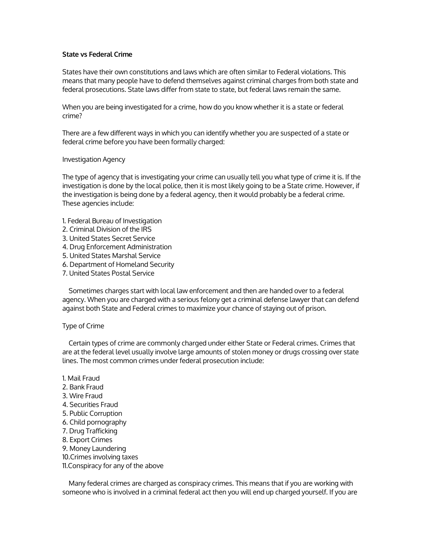## **State vs Federal Crime**

States have their own constitutions and laws which are often similar to Federal violations. This means that many people have to defend themselves against criminal charges from both state and federal prosecutions. State laws differ from state to state, but federal laws remain the same.

When you are being investigated for a crime, how do you know whether it is a state or federal crime?

There are a few different ways in which you can identify whether you are suspected of a state or federal crime before you have been formally charged:

## Investigation Agency

The type of agency that is investigating your crime can usually tell you what type of crime it is. If the investigation is done by the local police, then it is most likely going to be a State crime. However, if the investigation is being done by a federal agency, then it would probably be a federal crime. These agencies include:

- 1. Federal Bureau of Investigation
- 2. Criminal Division of the IRS
- 3. United States Secret Service
- 4. Drug Enforcement Administration
- 5. United States Marshal Service
- 6. Department of Homeland Security
- 7. United States Postal Service

 Sometimes charges start with local law enforcement and then are handed over to a federal agency. When you are charged with a serious felony get a criminal defense lawyer that can defend against both State and Federal crimes to maximize your chance of staying out of prison.

## Type of Crime

 Certain types of crime are commonly charged under either State or Federal crimes. Crimes that are at the federal level usually involve large amounts of stolen money or drugs crossing over state lines. The most common crimes under federal prosecution include:

1. Mail Fraud 2. Bank Fraud 3. Wire Fraud 4. Securities Fraud 5. Public Corruption 6. Child pornography 7. Drug Trafficking 8. Export Crimes 9. Money Laundering 10.Crimes involving taxes 11.Conspiracy for any of the above

 Many federal crimes are charged as conspiracy crimes. This means that if you are working with someone who is involved in a criminal federal act then you will end up charged yourself. If you are